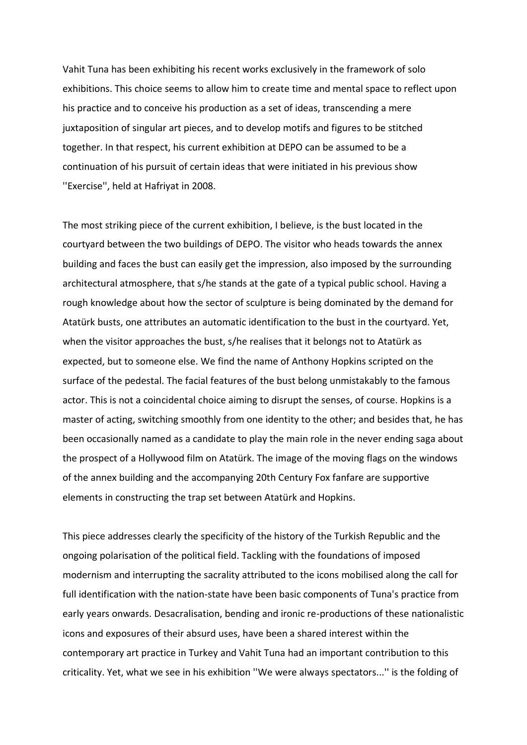Vahit Tuna has been exhibiting his recent works exclusively in the framework of solo exhibitions. This choice seems to allow him to create time and mental space to reflect upon his practice and to conceive his production as a set of ideas, transcending a mere juxtaposition of singular art pieces, and to develop motifs and figures to be stitched together. In that respect, his current exhibition at DEPO can be assumed to be a continuation of his pursuit of certain ideas that were initiated in his previous show ''Exercise'', held at Hafriyat in 2008.

The most striking piece of the current exhibition, I believe, is the bust located in the courtyard between the two buildings of DEPO. The visitor who heads towards the annex building and faces the bust can easily get the impression, also imposed by the surrounding architectural atmosphere, that s/he stands at the gate of a typical public school. Having a rough knowledge about how the sector of sculpture is being dominated by the demand for Atatürk busts, one attributes an automatic identification to the bust in the courtyard. Yet, when the visitor approaches the bust, s/he realises that it belongs not to Atatürk as expected, but to someone else. We find the name of Anthony Hopkins scripted on the surface of the pedestal. The facial features of the bust belong unmistakably to the famous actor. This is not a coincidental choice aiming to disrupt the senses, of course. Hopkins is a master of acting, switching smoothly from one identity to the other; and besides that, he has been occasionally named as a candidate to play the main role in the never ending saga about the prospect of a Hollywood film on Atatürk. The image of the moving flags on the windows of the annex building and the accompanying 20th Century Fox fanfare are supportive elements in constructing the trap set between Atatürk and Hopkins.

This piece addresses clearly the specificity of the history of the Turkish Republic and the ongoing polarisation of the political field. Tackling with the foundations of imposed modernism and interrupting the sacrality attributed to the icons mobilised along the call for full identification with the nation-state have been basic components of Tuna's practice from early years onwards. Desacralisation, bending and ironic re-productions of these nationalistic icons and exposures of their absurd uses, have been a shared interest within the contemporary art practice in Turkey and Vahit Tuna had an important contribution to this criticality. Yet, what we see in his exhibition ''We were always spectators...'' is the folding of